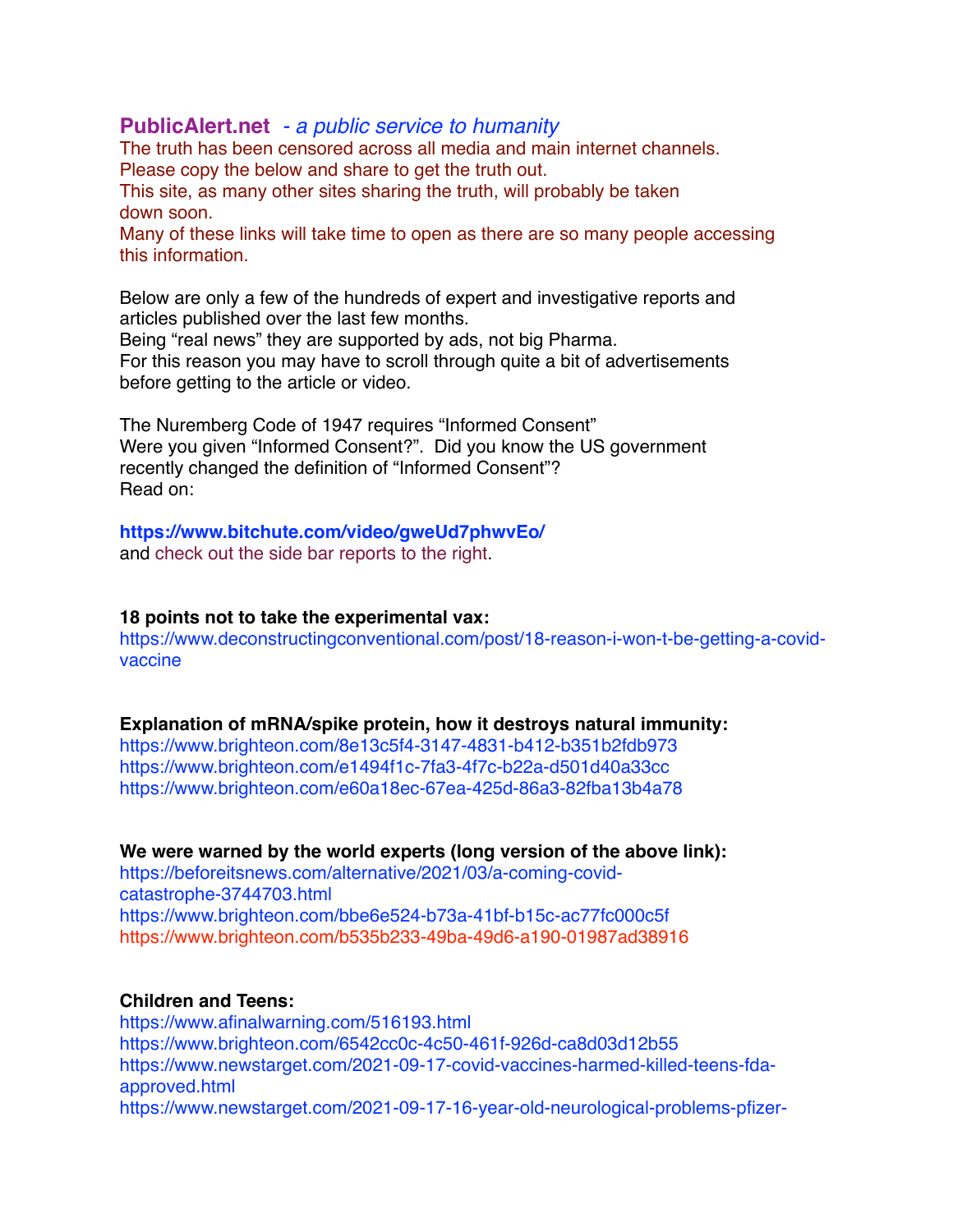# **[PublicAlert.net](http://PublicAlert.net)** *- a public service to humanity*

The truth has been censored across all media and main internet channels. Please copy the below and share to get the truth out. This site, as many other sites sharing the truth, will probably be taken

down soon.

Many of these links will take time to open as there are so many people accessing this information.

Below are only a few of the hundreds of expert and investigative reports and articles published over the last few months.

Being "real news" they are supported by ads, not big Pharma. For this reason you may have to scroll through quite a bit of advertisements before getting to the article or video.

The Nuremberg Code of 1947 requires "Informed Consent" Were you given "Informed Consent?". Did you know the US government recently changed the definition of "Informed Consent"? Read on:

#### **<https://www.bitchute.com/video/gweUd7phwvEo/>** and check out the side bar reports to the right.

### **18 points not to take the experimental vax:**

https://www.deconstructingconventional.com/post/18-reason-i-won-t-be-getting-a-covidvaccine

### **Explanation of mRNA/spike protein, how it destroys natural immunity:**

<https://www.brighteon.com/8e13c5f4-3147-4831-b412-b351b2fdb973> <https://www.brighteon.com/e1494f1c-7fa3-4f7c-b22a-d501d40a33cc> <https://www.brighteon.com/e60a18ec-67ea-425d-86a3-82fba13b4a78>

### **We were warned by the world experts (long version of the above link):**

[https://beforeitsnews.com/alternative/2021/03/a-coming-covid](https://beforeitsnews.com/alternative/2021/03/a-coming-covid-catastrophe-3744703.html)[catastrophe-3744703.html](https://beforeitsnews.com/alternative/2021/03/a-coming-covid-catastrophe-3744703.html) <https://www.brighteon.com/bbe6e524-b73a-41bf-b15c-ac77fc000c5f> <https://www.brighteon.com/b535b233-49ba-49d6-a190-01987ad38916>

# **Children and Teens:**

<https://www.afinalwarning.com/516193.html> <https://www.brighteon.com/6542cc0c-4c50-461f-926d-ca8d03d12b55> [https://www.newstarget.com/2021-09-17-covid-vaccines-harmed-killed-teens-fda](https://www.newstarget.com/2021-09-17-covid-vaccines-harmed-killed-teens-fda-approved.html)[approved.html](https://www.newstarget.com/2021-09-17-covid-vaccines-harmed-killed-teens-fda-approved.html) [https://www.newstarget.com/2021-09-17-16-year-old-neurological-problems-pfizer-](https://www.newstarget.com/2021-09-17-16-year-old-neurological-problems-pfizer-vaccine.html)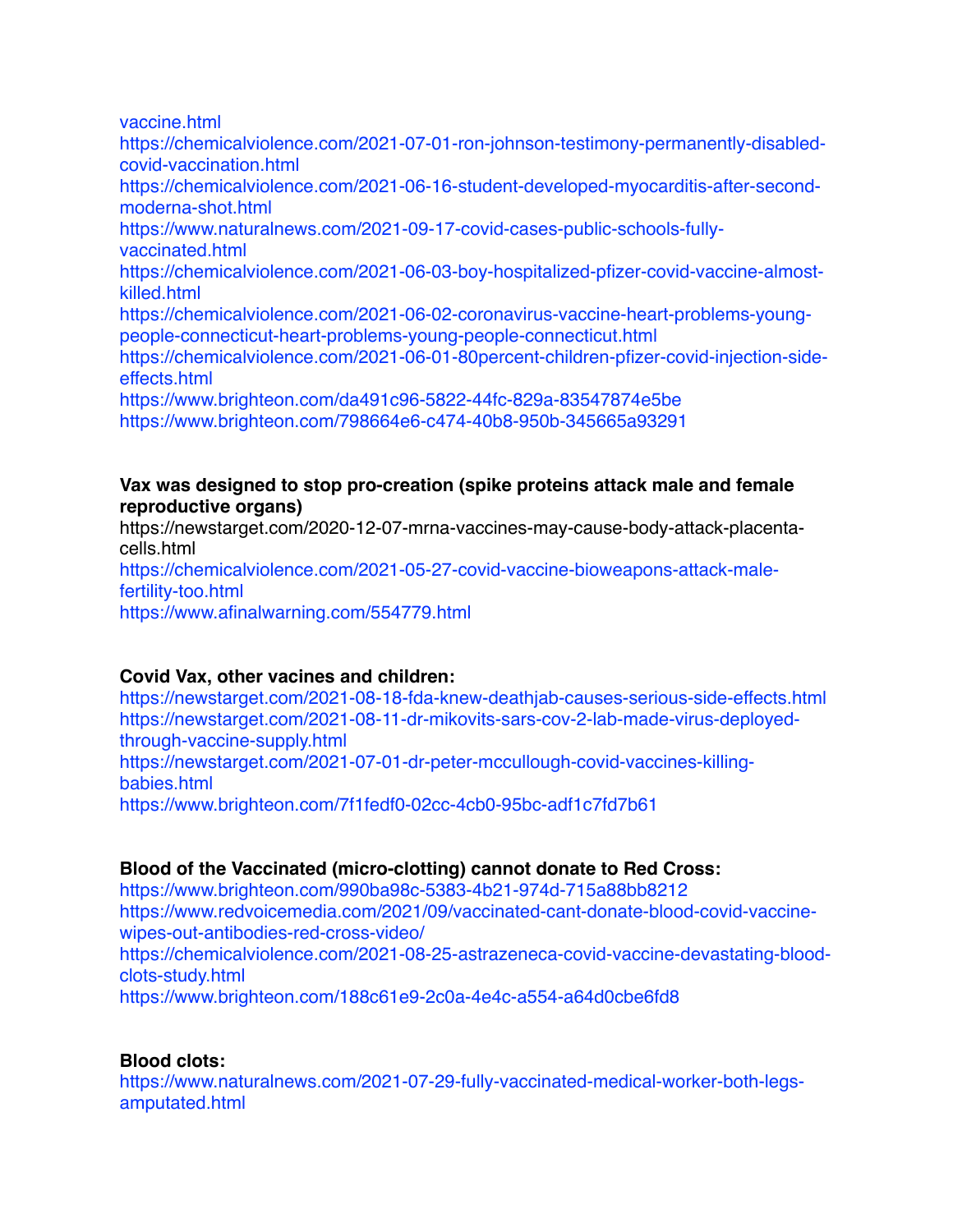[vaccine.html](https://www.newstarget.com/2021-09-17-16-year-old-neurological-problems-pfizer-vaccine.html)

[https://chemicalviolence.com/2021-07-01-ron-johnson-testimony-permanently-disabled](https://chemicalviolence.com/2021-07-01-ron-johnson-testimony-permanently-disabled-covid-vaccination.html)[covid-vaccination.html](https://chemicalviolence.com/2021-07-01-ron-johnson-testimony-permanently-disabled-covid-vaccination.html) [https://chemicalviolence.com/2021-06-16-student-developed-myocarditis-after-second](https://chemicalviolence.com/2021-06-16-student-developed-myocarditis-after-second-moderna-shot.html)[moderna-shot.html](https://chemicalviolence.com/2021-06-16-student-developed-myocarditis-after-second-moderna-shot.html)

[https://www.naturalnews.com/2021-09-17-covid-cases-public-schools-fully](https://www.naturalnews.com/2021-09-17-covid-cases-public-schools-fully-vaccinated.html)[vaccinated.html](https://www.naturalnews.com/2021-09-17-covid-cases-public-schools-fully-vaccinated.html)

[https://chemicalviolence.com/2021-06-03-boy-hospitalized-pfizer-covid-vaccine-almost](https://chemicalviolence.com/2021-06-03-boy-hospitalized-pfizer-covid-vaccine-almost-killed.html)[killed.html](https://chemicalviolence.com/2021-06-03-boy-hospitalized-pfizer-covid-vaccine-almost-killed.html)

[https://chemicalviolence.com/2021-06-02-coronavirus-vaccine-heart-problems-young](https://chemicalviolence.com/2021-06-02-coronavirus-vaccine-heart-problems-young-people-connecticut-heart-problems-young-people-connecticut.html)[people-connecticut-heart-problems-young-people-connecticut.html](https://chemicalviolence.com/2021-06-02-coronavirus-vaccine-heart-problems-young-people-connecticut-heart-problems-young-people-connecticut.html)

[https://chemicalviolence.com/2021-06-01-80percent-children-pfizer-covid-injection-side](https://chemicalviolence.com/2021-06-01-80percent-children-pfizer-covid-injection-side-effects.html)[effects.html](https://chemicalviolence.com/2021-06-01-80percent-children-pfizer-covid-injection-side-effects.html)

<https://www.brighteon.com/da491c96-5822-44fc-829a-83547874e5be> <https://www.brighteon.com/798664e6-c474-40b8-950b-345665a93291>

# **Vax was designed to stop pro-creation (spike proteins attack male and female reproductive organs)**

[https://newstarget.com/2020-12-07-mrna-vaccines-may-cause-body-attack-placenta](https://newstarget.com/2020-12-07-mrna-vaccines-may-cause-body-attack-placenta-cells.html)[cells.html](https://newstarget.com/2020-12-07-mrna-vaccines-may-cause-body-attack-placenta-cells.html) [https://chemicalviolence.com/2021-05-27-covid-vaccine-bioweapons-attack-male](https://chemicalviolence.com/2021-05-27-covid-vaccine-bioweapons-attack-male-fertility-too.html)[fertility-too.html](https://chemicalviolence.com/2021-05-27-covid-vaccine-bioweapons-attack-male-fertility-too.html) <https://www.afinalwarning.com/554779.html>

# **Covid Vax, other vacines and children:**

<https://newstarget.com/2021-08-18-fda-knew-deathjab-causes-serious-side-effects.html> [https://newstarget.com/2021-08-11-dr-mikovits-sars-cov-2-lab-made-virus-deployed](https://newstarget.com/2021-08-11-dr-mikovits-sars-cov-2-lab-made-virus-deployed-through-vaccine-supply.html)[through-vaccine-supply.html](https://newstarget.com/2021-08-11-dr-mikovits-sars-cov-2-lab-made-virus-deployed-through-vaccine-supply.html) [https://newstarget.com/2021-07-01-dr-peter-mccullough-covid-vaccines-killing](https://newstarget.com/2021-07-01-dr-peter-mccullough-covid-vaccines-killing-babies.html)[babies.html](https://newstarget.com/2021-07-01-dr-peter-mccullough-covid-vaccines-killing-babies.html) <https://www.brighteon.com/7f1fedf0-02cc-4cb0-95bc-adf1c7fd7b61>

# **Blood of the Vaccinated (micro-clotting) cannot donate to Red Cross:**

<https://www.brighteon.com/990ba98c-5383-4b21-974d-715a88bb8212> [https://www.redvoicemedia.com/2021/09/vaccinated-cant-donate-blood-covid-vaccine](https://www.redvoicemedia.com/2021/09/vaccinated-cant-donate-blood-covid-vaccine-wipes-out-antibodies-red-cross-video/)[wipes-out-antibodies-red-cross-video/](https://www.redvoicemedia.com/2021/09/vaccinated-cant-donate-blood-covid-vaccine-wipes-out-antibodies-red-cross-video/) [https://chemicalviolence.com/2021-08-25-astrazeneca-covid-vaccine-devastating-blood](https://chemicalviolence.com/2021-08-25-astrazeneca-covid-vaccine-devastating-blood-clots-study.html)[clots-study.html](https://chemicalviolence.com/2021-08-25-astrazeneca-covid-vaccine-devastating-blood-clots-study.html) <https://www.brighteon.com/188c61e9-2c0a-4e4c-a554-a64d0cbe6fd8>

# **Blood clots:**

[https://www.naturalnews.com/2021-07-29-fully-vaccinated-medical-worker-both-legs](https://www.naturalnews.com/2021-07-29-fully-vaccinated-medical-worker-both-legs-amputated.html)[amputated.html](https://www.naturalnews.com/2021-07-29-fully-vaccinated-medical-worker-both-legs-amputated.html)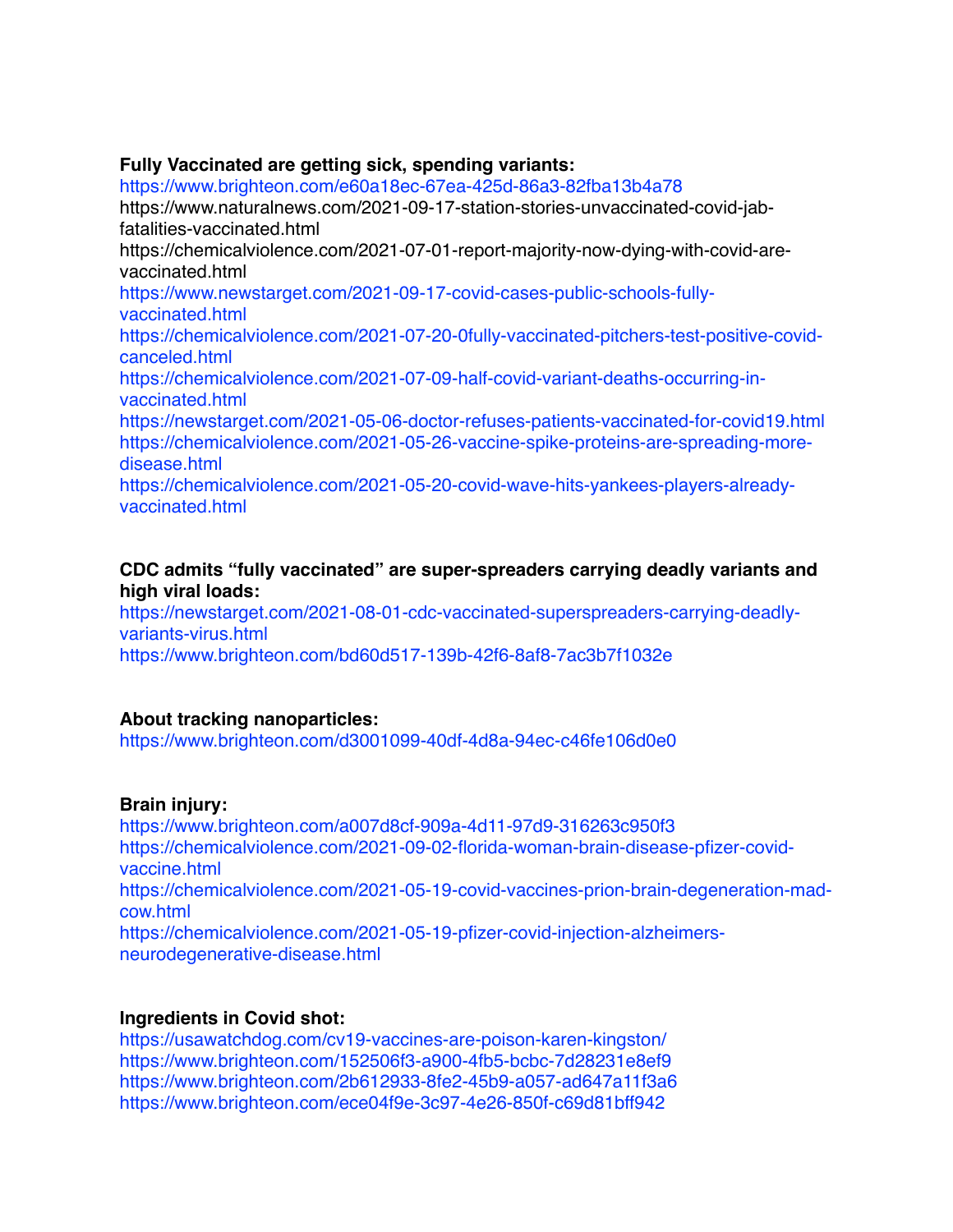### **Fully Vaccinated are getting sick, spending variants:**

<https://www.brighteon.com/e60a18ec-67ea-425d-86a3-82fba13b4a78>

[https://www.naturalnews.com/2021-09-17-station-stories-unvaccinated-covid-jab](https://www.naturalnews.com/2021-09-17-station-stories-unvaccinated-covid-jab-fatalities-vaccinated.html)[fatalities-vaccinated.html](https://www.naturalnews.com/2021-09-17-station-stories-unvaccinated-covid-jab-fatalities-vaccinated.html)

[https://chemicalviolence.com/2021-07-01-report-majority-now-dying-with-covid-are](https://chemicalviolence.com/2021-07-01-report-majority-now-dying-with-covid-are-vaccinated.html)[vaccinated.html](https://chemicalviolence.com/2021-07-01-report-majority-now-dying-with-covid-are-vaccinated.html)

[https://www.newstarget.com/2021-09-17-covid-cases-public-schools-fully](https://www.newstarget.com/2021-09-17-covid-cases-public-schools-fully-vaccinated.html)[vaccinated.html](https://www.newstarget.com/2021-09-17-covid-cases-public-schools-fully-vaccinated.html)

[https://chemicalviolence.com/2021-07-20-0fully-vaccinated-pitchers-test-positive-covid](https://chemicalviolence.com/2021-07-20-0fully-vaccinated-pitchers-test-positive-covid-canceled.html)[canceled.html](https://chemicalviolence.com/2021-07-20-0fully-vaccinated-pitchers-test-positive-covid-canceled.html)

[https://chemicalviolence.com/2021-07-09-half-covid-variant-deaths-occurring-in](https://chemicalviolence.com/2021-07-09-half-covid-variant-deaths-occurring-in-vaccinated.html)[vaccinated.html](https://chemicalviolence.com/2021-07-09-half-covid-variant-deaths-occurring-in-vaccinated.html)

<https://newstarget.com/2021-05-06-doctor-refuses-patients-vaccinated-for-covid19.html> [https://chemicalviolence.com/2021-05-26-vaccine-spike-proteins-are-spreading-more](https://chemicalviolence.com/2021-05-26-vaccine-spike-proteins-are-spreading-more-disease.html)[disease.html](https://chemicalviolence.com/2021-05-26-vaccine-spike-proteins-are-spreading-more-disease.html)

[https://chemicalviolence.com/2021-05-20-covid-wave-hits-yankees-players-already](https://chemicalviolence.com/2021-05-20-covid-wave-hits-yankees-players-already-vaccinated.html)[vaccinated.html](https://chemicalviolence.com/2021-05-20-covid-wave-hits-yankees-players-already-vaccinated.html)

### **CDC admits "fully vaccinated" are super-spreaders carrying deadly variants and high viral loads:**

[https://newstarget.com/2021-08-01-cdc-vaccinated-superspreaders-carrying-deadly](https://newstarget.com/2021-08-01-cdc-vaccinated-superspreaders-carrying-deadly-variants-virus.html)[variants-virus.html](https://newstarget.com/2021-08-01-cdc-vaccinated-superspreaders-carrying-deadly-variants-virus.html)

<https://www.brighteon.com/bd60d517-139b-42f6-8af8-7ac3b7f1032e>

### **About tracking nanoparticles:**

<https://www.brighteon.com/d3001099-40df-4d8a-94ec-c46fe106d0e0>

### **Brain injury:**

<https://www.brighteon.com/a007d8cf-909a-4d11-97d9-316263c950f3> [https://chemicalviolence.com/2021-09-02-florida-woman-brain-disease-pfizer-covid](https://chemicalviolence.com/2021-09-02-florida-woman-brain-disease-pfizer-covid-vaccine.html)[vaccine.html](https://chemicalviolence.com/2021-09-02-florida-woman-brain-disease-pfizer-covid-vaccine.html) [https://chemicalviolence.com/2021-05-19-covid-vaccines-prion-brain-degeneration-mad](https://chemicalviolence.com/2021-05-19-covid-vaccines-prion-brain-degeneration-mad-cow.html)[cow.html](https://chemicalviolence.com/2021-05-19-covid-vaccines-prion-brain-degeneration-mad-cow.html) [https://chemicalviolence.com/2021-05-19-pfizer-covid-injection-alzheimers](https://chemicalviolence.com/2021-05-19-pfizer-covid-injection-alzheimers-neurodegenerative-disease.html)[neurodegenerative-disease.html](https://chemicalviolence.com/2021-05-19-pfizer-covid-injection-alzheimers-neurodegenerative-disease.html)

# **Ingredients in Covid shot:**

<https://usawatchdog.com/cv19-vaccines-are-poison-karen-kingston/> <https://www.brighteon.com/152506f3-a900-4fb5-bcbc-7d28231e8ef9> <https://www.brighteon.com/2b612933-8fe2-45b9-a057-ad647a11f3a6> <https://www.brighteon.com/ece04f9e-3c97-4e26-850f-c69d81bff942>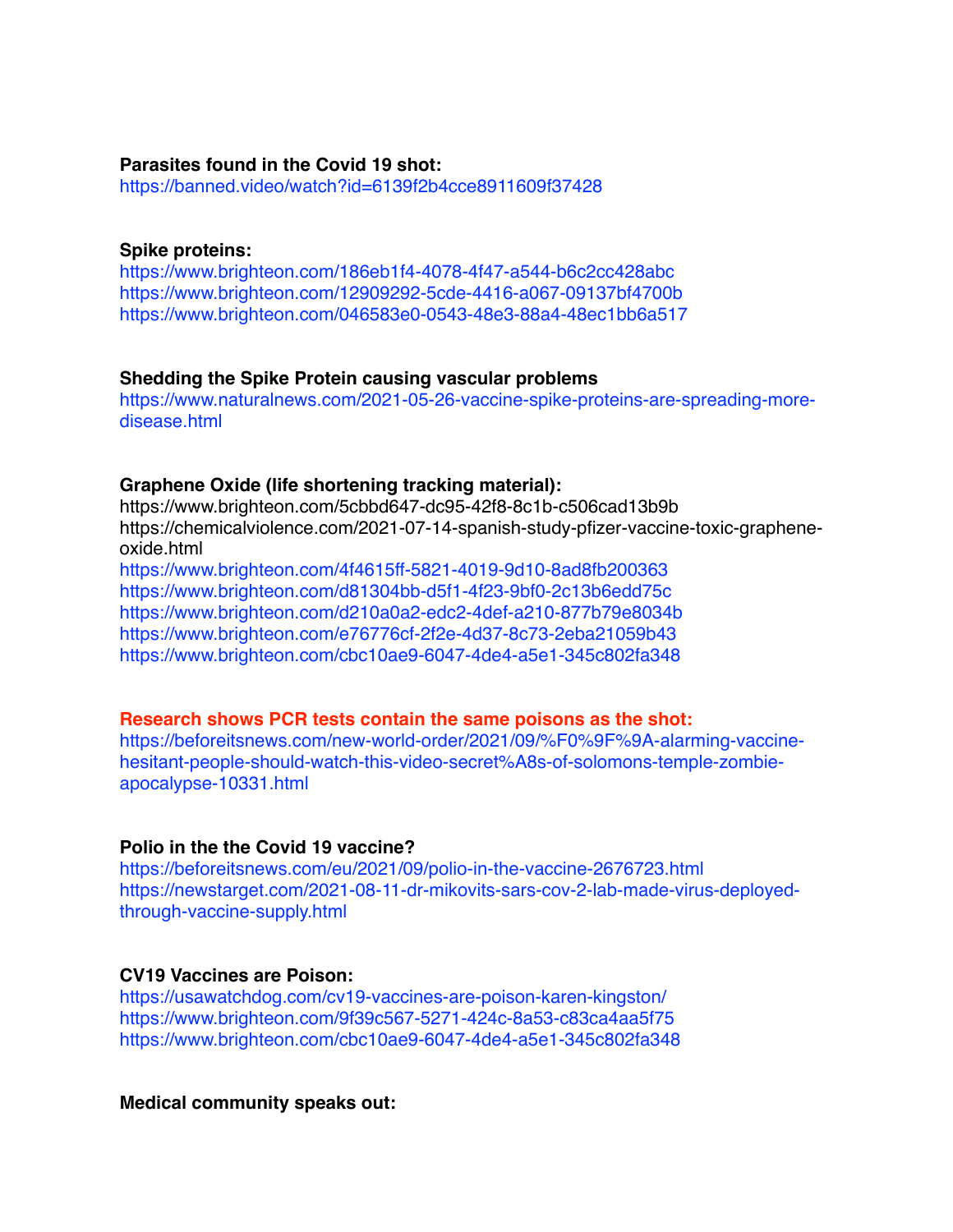#### **Parasites found in the Covid 19 shot:**

<https://banned.video/watch?id=6139f2b4cce8911609f37428>

#### **Spike proteins:**

<https://www.brighteon.com/186eb1f4-4078-4f47-a544-b6c2cc428abc> <https://www.brighteon.com/12909292-5cde-4416-a067-09137bf4700b> <https://www.brighteon.com/046583e0-0543-48e3-88a4-48ec1bb6a517>

#### **Shedding the Spike Protein causing vascular problems**

[https://www.naturalnews.com/2021-05-26-vaccine-spike-proteins-are-spreading-more](https://www.naturalnews.com/2021-05-26-vaccine-spike-proteins-are-spreading-more-disease.html)[disease.html](https://www.naturalnews.com/2021-05-26-vaccine-spike-proteins-are-spreading-more-disease.html)

#### **Graphene Oxide (life shortening tracking material):**

<https://www.brighteon.com/5cbbd647-dc95-42f8-8c1b-c506cad13b9b> [https://chemicalviolence.com/2021-07-14-spanish-study-pfizer-vaccine-toxic-graphene](https://chemicalviolence.com/2021-07-14-spanish-study-pfizer-vaccine-toxic-graphene-oxide.html)[oxide.html](https://chemicalviolence.com/2021-07-14-spanish-study-pfizer-vaccine-toxic-graphene-oxide.html)

<https://www.brighteon.com/4f4615ff-5821-4019-9d10-8ad8fb200363> <https://www.brighteon.com/d81304bb-d5f1-4f23-9bf0-2c13b6edd75c> <https://www.brighteon.com/d210a0a2-edc2-4def-a210-877b79e8034b> <https://www.brighteon.com/e76776cf-2f2e-4d37-8c73-2eba21059b43> <https://www.brighteon.com/cbc10ae9-6047-4de4-a5e1-345c802fa348>

#### **Research shows PCR tests contain the same poisons as the shot:**

[https://beforeitsnews.com/new-world-order/2021/09/%F0%9F%9A-alarming-vaccine](https://beforeitsnews.com/new-world-order/2021/09/%F0%9F%9A-alarming-vaccine-hesitant-people-should-watch-this-video-secret%A8s-of-solomons-temple-zombie-apocalypse-10331.html)[hesitant-people-should-watch-this-video-secret%A8s-of-solomons-temple-zombie](https://beforeitsnews.com/new-world-order/2021/09/%F0%9F%9A-alarming-vaccine-hesitant-people-should-watch-this-video-secret%A8s-of-solomons-temple-zombie-apocalypse-10331.html)[apocalypse-10331.html](https://beforeitsnews.com/new-world-order/2021/09/%F0%9F%9A-alarming-vaccine-hesitant-people-should-watch-this-video-secret%A8s-of-solomons-temple-zombie-apocalypse-10331.html)

### **Polio in the the Covid 19 vaccine?**

<https://beforeitsnews.com/eu/2021/09/polio-in-the-vaccine-2676723.html> [https://newstarget.com/2021-08-11-dr-mikovits-sars-cov-2-lab-made-virus-deployed](https://newstarget.com/2021-08-11-dr-mikovits-sars-cov-2-lab-made-virus-deployed-through-vaccine-supply.html)[through-vaccine-supply.html](https://newstarget.com/2021-08-11-dr-mikovits-sars-cov-2-lab-made-virus-deployed-through-vaccine-supply.html)

# **CV19 Vaccines are Poison:**

<https://usawatchdog.com/cv19-vaccines-are-poison-karen-kingston/> <https://www.brighteon.com/9f39c567-5271-424c-8a53-c83ca4aa5f75> <https://www.brighteon.com/cbc10ae9-6047-4de4-a5e1-345c802fa348>

### **Medical community speaks out:**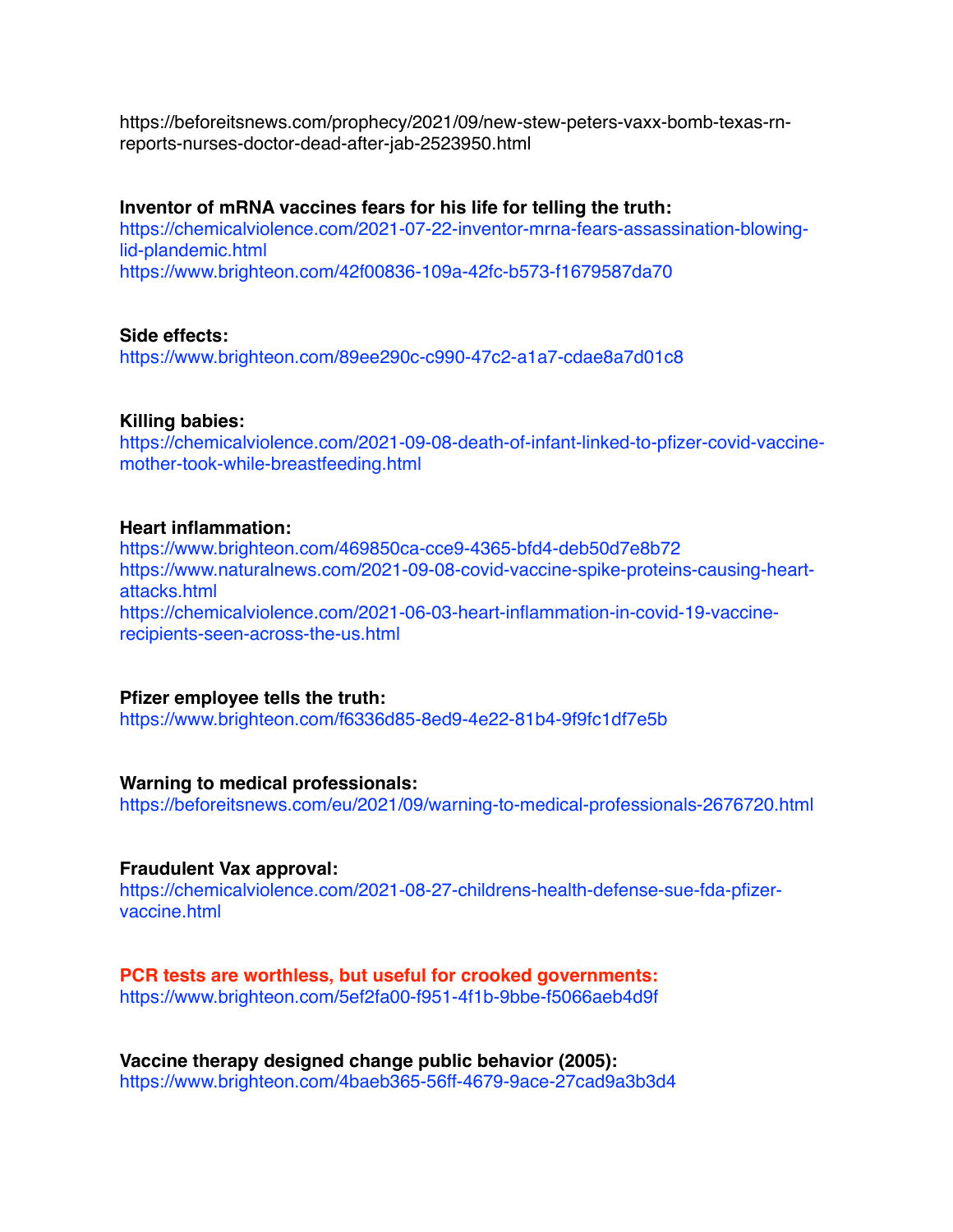[https://beforeitsnews.com/prophecy/2021/09/new-stew-peters-vaxx-bomb-texas-rn](https://beforeitsnews.com/prophecy/2021/09/new-stew-peters-vaxx-bomb-texas-rn-reports-nurses-doctor-dead-after-jab-2523950.html)[reports-nurses-doctor-dead-after-jab-2523950.html](https://beforeitsnews.com/prophecy/2021/09/new-stew-peters-vaxx-bomb-texas-rn-reports-nurses-doctor-dead-after-jab-2523950.html)

#### **Inventor of mRNA vaccines fears for his life for telling the truth:**

[https://chemicalviolence.com/2021-07-22-inventor-mrna-fears-assassination-blowing](https://chemicalviolence.com/2021-07-22-inventor-mrna-fears-assassination-blowing-lid-plandemic.html)[lid-plandemic.html](https://chemicalviolence.com/2021-07-22-inventor-mrna-fears-assassination-blowing-lid-plandemic.html)

<https://www.brighteon.com/42f00836-109a-42fc-b573-f1679587da70>

#### **Side effects:**

<https://www.brighteon.com/89ee290c-c990-47c2-a1a7-cdae8a7d01c8>

### **Killing babies:**

[https://chemicalviolence.com/2021-09-08-death-of-infant-linked-to-pfizer-covid-vaccine](https://chemicalviolence.com/2021-09-08-death-of-infant-linked-to-pfizer-covid-vaccine-mother-took-while-breastfeeding.html)[mother-took-while-breastfeeding.html](https://chemicalviolence.com/2021-09-08-death-of-infant-linked-to-pfizer-covid-vaccine-mother-took-while-breastfeeding.html)

#### **Heart inflammation:**

<https://www.brighteon.com/469850ca-cce9-4365-bfd4-deb50d7e8b72> [https://www.naturalnews.com/2021-09-08-covid-vaccine-spike-proteins-causing-heart](https://www.naturalnews.com/2021-09-08-covid-vaccine-spike-proteins-causing-heart-attacks.html)[attacks.html](https://www.naturalnews.com/2021-09-08-covid-vaccine-spike-proteins-causing-heart-attacks.html) [https://chemicalviolence.com/2021-06-03-heart-inflammation-in-covid-19-vaccine](https://chemicalviolence.com/2021-06-03-heart-inflammation-in-covid-19-vaccine-recipients-seen-across-the-us.html)[recipients-seen-across-the-us.html](https://chemicalviolence.com/2021-06-03-heart-inflammation-in-covid-19-vaccine-recipients-seen-across-the-us.html)

#### **Pfizer employee tells the truth:**

<https://www.brighteon.com/f6336d85-8ed9-4e22-81b4-9f9fc1df7e5b>

### **Warning to medical professionals:**

<https://beforeitsnews.com/eu/2021/09/warning-to-medical-professionals-2676720.html>

### **Fraudulent Vax approval:**

[https://chemicalviolence.com/2021-08-27-childrens-health-defense-sue-fda-pfizer](https://beforeitsnews.com/eu/2021/09/warning-to-medical-professionals-2676720.html)[vaccine.html](https://beforeitsnews.com/eu/2021/09/warning-to-medical-professionals-2676720.html)

# **PCR tests are worthless, but useful for crooked governments:**

<https://www.brighteon.com/5ef2fa00-f951-4f1b-9bbe-f5066aeb4d9f>

**Vaccine therapy designed change public behavior (2005):** <https://www.brighteon.com/4baeb365-56ff-4679-9ace-27cad9a3b3d4>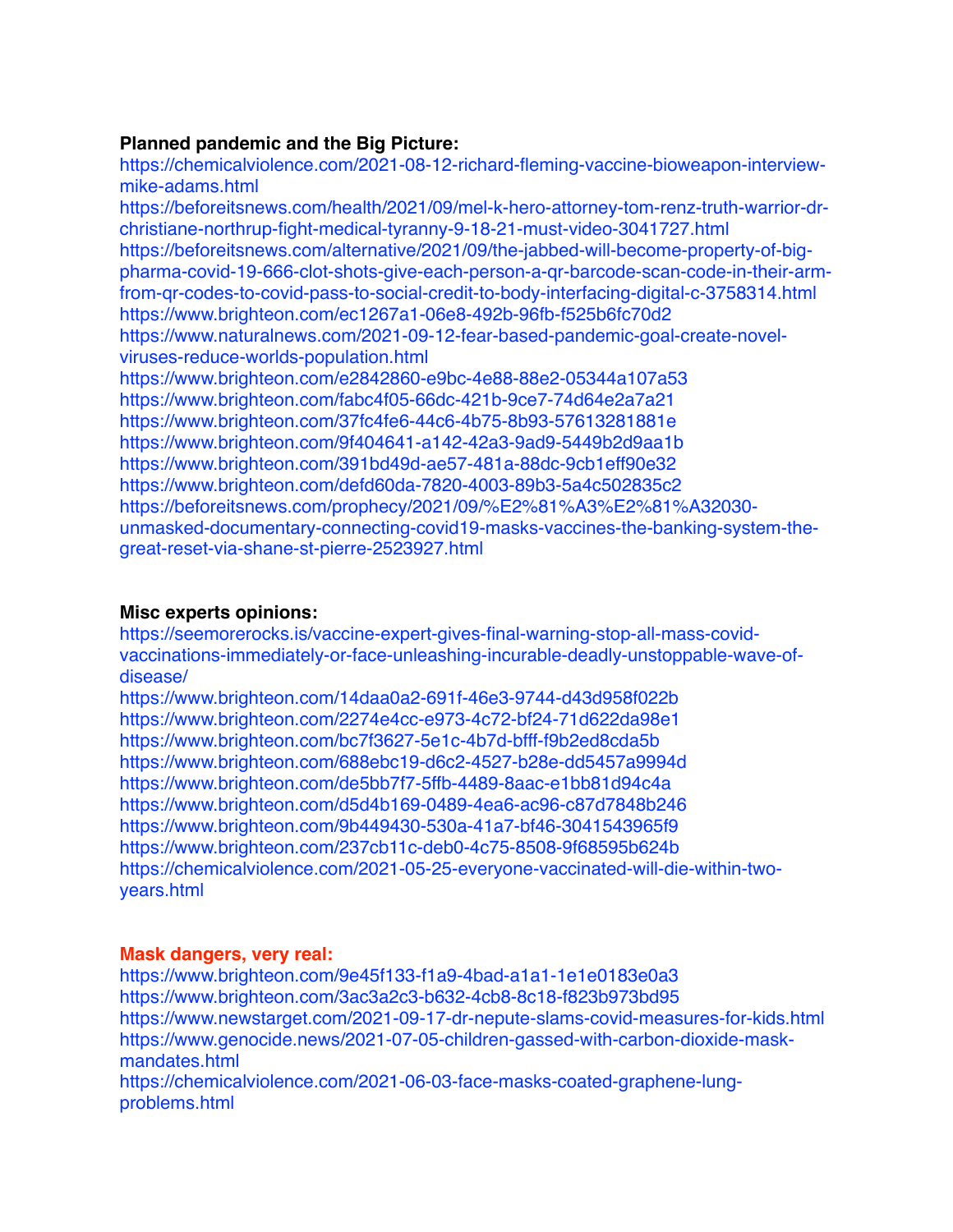# **Planned pandemic and the Big Picture:**

https://chemicalviolence.com/2021-08-12-richard-fleming-vaccine-bioweapon-interviewmike-adams.html

[https://beforeitsnews.com/health/2021/09/mel-k-hero-attorney-tom-renz-truth-warrior-dr](https://beforeitsnews.com/health/2021/09/mel-k-hero-attorney-tom-renz-truth-warrior-dr-christiane-northrup-fight-medical-tyranny-9-18-21-must-video-3041727.html)[christiane-northrup-fight-medical-tyranny-9-18-21-must-video-3041727.html](https://beforeitsnews.com/health/2021/09/mel-k-hero-attorney-tom-renz-truth-warrior-dr-christiane-northrup-fight-medical-tyranny-9-18-21-must-video-3041727.html) [https://beforeitsnews.com/alternative/2021/09/the-jabbed-will-become-property-of-big](https://beforeitsnews.com/alternative/2021/09/the-jabbed-will-become-property-of-big-pharma-covid-19-666-clot-shots-give-each-person-a-qr-barcode-scan-code-in-their-arm-from-qr-codes-to-covid-pass-to-social-credit-to-body-interfacing-digital-c-3758314.html)[pharma-covid-19-666-clot-shots-give-each-person-a-qr-barcode-scan-code-in-their-arm](https://beforeitsnews.com/alternative/2021/09/the-jabbed-will-become-property-of-big-pharma-covid-19-666-clot-shots-give-each-person-a-qr-barcode-scan-code-in-their-arm-from-qr-codes-to-covid-pass-to-social-credit-to-body-interfacing-digital-c-3758314.html)[from-qr-codes-to-covid-pass-to-social-credit-to-body-interfacing-digital-c-3758314.html](https://beforeitsnews.com/alternative/2021/09/the-jabbed-will-become-property-of-big-pharma-covid-19-666-clot-shots-give-each-person-a-qr-barcode-scan-code-in-their-arm-from-qr-codes-to-covid-pass-to-social-credit-to-body-interfacing-digital-c-3758314.html) <https://www.brighteon.com/ec1267a1-06e8-492b-96fb-f525b6fc70d2> [https://www.naturalnews.com/2021-09-12-fear-based-pandemic-goal-create-novel](https://www.naturalnews.com/2021-09-12-fear-based-pandemic-goal-create-novel-viruses-reduce-worlds-population.html)[viruses-reduce-worlds-population.html](https://www.naturalnews.com/2021-09-12-fear-based-pandemic-goal-create-novel-viruses-reduce-worlds-population.html) <https://www.brighteon.com/e2842860-e9bc-4e88-88e2-05344a107a53> <https://www.brighteon.com/fabc4f05-66dc-421b-9ce7-74d64e2a7a21> <https://www.brighteon.com/37fc4fe6-44c6-4b75-8b93-57613281881e> <https://www.brighteon.com/9f404641-a142-42a3-9ad9-5449b2d9aa1b> <https://www.brighteon.com/391bd49d-ae57-481a-88dc-9cb1eff90e32> <https://www.brighteon.com/defd60da-7820-4003-89b3-5a4c502835c2> [https://beforeitsnews.com/prophecy/2021/09/%E2%81%A3%E2%81%A32030-](https://beforeitsnews.com/prophecy/2021/09/%E2%81%A3%E2%81%A32030-unmasked-documentary-connecting-covid19-masks-vaccines-the-banking-system-the-great-reset-via-shane-st-pierre-2523927.html)

[unmasked-documentary-connecting-covid19-masks-vaccines-the-banking-system-the](https://beforeitsnews.com/prophecy/2021/09/%E2%81%A3%E2%81%A32030-unmasked-documentary-connecting-covid19-masks-vaccines-the-banking-system-the-great-reset-via-shane-st-pierre-2523927.html)[great-reset-via-shane-st-pierre-2523927.html](https://beforeitsnews.com/prophecy/2021/09/%E2%81%A3%E2%81%A32030-unmasked-documentary-connecting-covid19-masks-vaccines-the-banking-system-the-great-reset-via-shane-st-pierre-2523927.html)

### **Misc experts opinions:**

[https://seemorerocks.is/vaccine-expert-gives-final-warning-stop-all-mass-covid](https://seemorerocks.is/vaccine-expert-gives-final-warning-stop-all-mass-covid-vaccinations-immediately-or-face-unleashing-incurable-deadly-unstoppable-wave-of-disease/)[vaccinations-immediately-or-face-unleashing-incurable-deadly-unstoppable-wave-of](https://seemorerocks.is/vaccine-expert-gives-final-warning-stop-all-mass-covid-vaccinations-immediately-or-face-unleashing-incurable-deadly-unstoppable-wave-of-disease/)[disease/](https://seemorerocks.is/vaccine-expert-gives-final-warning-stop-all-mass-covid-vaccinations-immediately-or-face-unleashing-incurable-deadly-unstoppable-wave-of-disease/)

<https://www.brighteon.com/14daa0a2-691f-46e3-9744-d43d958f022b> <https://www.brighteon.com/2274e4cc-e973-4c72-bf24-71d622da98e1> <https://www.brighteon.com/bc7f3627-5e1c-4b7d-bfff-f9b2ed8cda5b> <https://www.brighteon.com/688ebc19-d6c2-4527-b28e-dd5457a9994d> <https://www.brighteon.com/de5bb7f7-5ffb-4489-8aac-e1bb81d94c4a> <https://www.brighteon.com/d5d4b169-0489-4ea6-ac96-c87d7848b246> <https://www.brighteon.com/9b449430-530a-41a7-bf46-3041543965f9> <https://www.brighteon.com/237cb11c-deb0-4c75-8508-9f68595b624b> [https://chemicalviolence.com/2021-05-25-everyone-vaccinated-will-die-within-two](https://chemicalviolence.com/2021-05-25-everyone-vaccinated-will-die-within-two-years.html)[years.html](https://chemicalviolence.com/2021-05-25-everyone-vaccinated-will-die-within-two-years.html)

### **Mask dangers, very real:**

<https://www.brighteon.com/9e45f133-f1a9-4bad-a1a1-1e1e0183e0a3> <https://www.brighteon.com/3ac3a2c3-b632-4cb8-8c18-f823b973bd95> <https://www.newstarget.com/2021-09-17-dr-nepute-slams-covid-measures-for-kids.html> [https://www.genocide.news/2021-07-05-children-gassed-with-carbon-dioxide-mask](https://www.genocide.news/2021-07-05-children-gassed-with-carbon-dioxide-mask-mandates.html)[mandates.html](https://www.genocide.news/2021-07-05-children-gassed-with-carbon-dioxide-mask-mandates.html)

[https://chemicalviolence.com/2021-06-03-face-masks-coated-graphene-lung](https://chemicalviolence.com/2021-06-03-face-masks-coated-graphene-lung-problems.html)[problems.html](https://chemicalviolence.com/2021-06-03-face-masks-coated-graphene-lung-problems.html)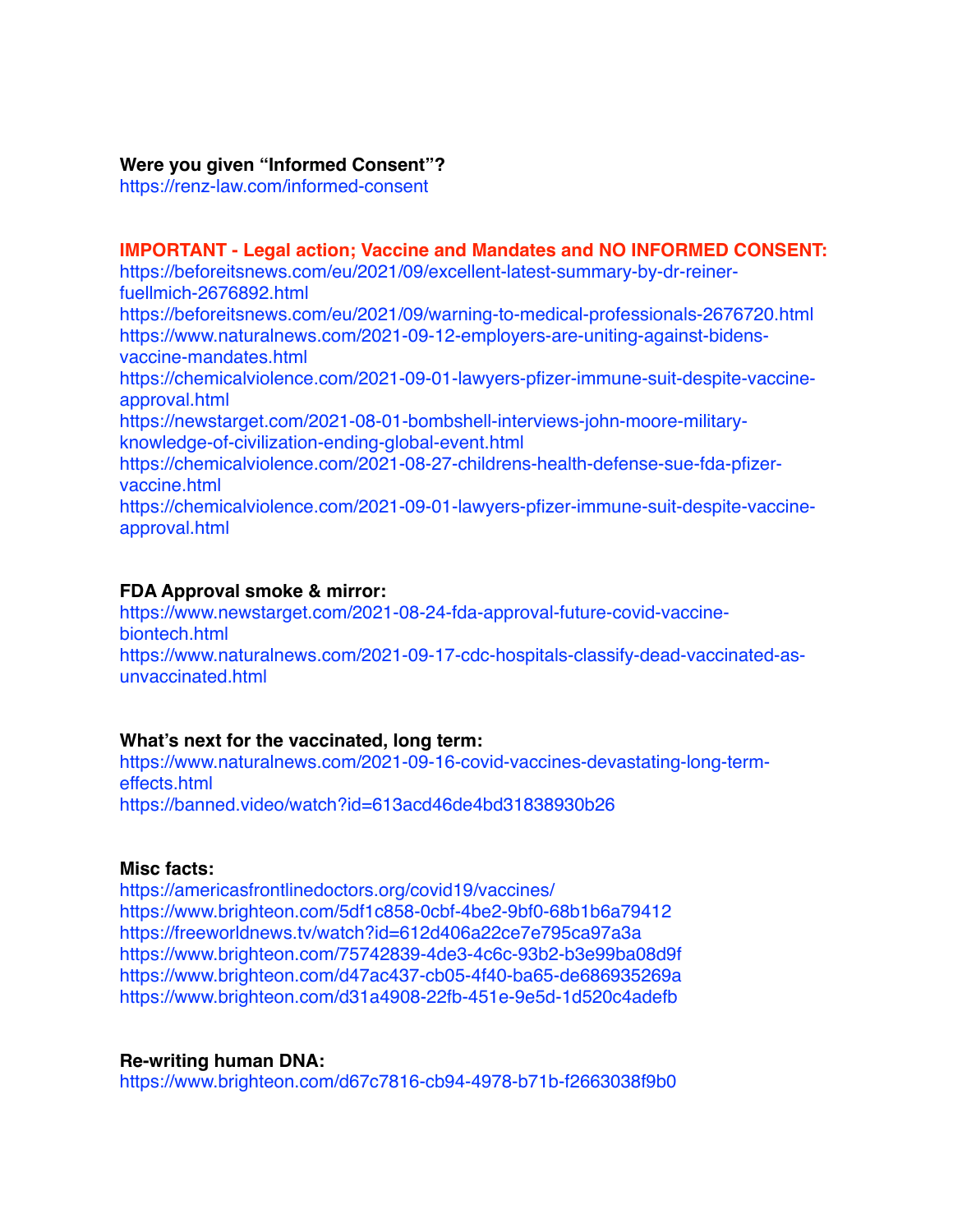### **Were you given "Informed Consent"?**

<https://renz-law.com/informed-consent>

**IMPORTANT - Legal action; Vaccine and Mandates and NO INFORMED CONSENT:** [https://beforeitsnews.com/eu/2021/09/excellent-latest-summary-by-dr-reiner](https://beforeitsnews.com/eu/2021/09/excellent-latest-summary-by-dr-reiner-fuellmich-2676892.html)[fuellmich-2676892.html](https://beforeitsnews.com/eu/2021/09/excellent-latest-summary-by-dr-reiner-fuellmich-2676892.html) <https://beforeitsnews.com/eu/2021/09/warning-to-medical-professionals-2676720.html> [https://www.naturalnews.com/2021-09-12-employers-are-uniting-against-bidens](https://www.naturalnews.com/2021-09-12-employers-are-uniting-against-bidens-vaccine-mandates.html)[vaccine-mandates.html](https://www.naturalnews.com/2021-09-12-employers-are-uniting-against-bidens-vaccine-mandates.html) [https://chemicalviolence.com/2021-09-01-lawyers-pfizer-immune-suit-despite-vaccine](https://chemicalviolence.com/2021-09-01-lawyers-pfizer-immune-suit-despite-vaccine-approval.html)[approval.html](https://chemicalviolence.com/2021-09-01-lawyers-pfizer-immune-suit-despite-vaccine-approval.html) [https://newstarget.com/2021-08-01-bombshell-interviews-john-moore-military](https://newstarget.com/2021-08-01-bombshell-interviews-john-moore-military-knowledge-of-civilization-ending-global-event.html)[knowledge-of-civilization-ending-global-event.html](https://newstarget.com/2021-08-01-bombshell-interviews-john-moore-military-knowledge-of-civilization-ending-global-event.html) [https://chemicalviolence.com/2021-08-27-childrens-health-defense-sue-fda-pfizer](https://chemicalviolence.com/2021-08-27-childrens-health-defense-sue-fda-pfizer-vaccine.html)[vaccine.html](https://chemicalviolence.com/2021-08-27-childrens-health-defense-sue-fda-pfizer-vaccine.html) [https://chemicalviolence.com/2021-09-01-lawyers-pfizer-immune-suit-despite-vaccine](https://chemicalviolence.com/2021-09-01-lawyers-pfizer-immune-suit-despite-vaccine-approval.html)[approval.html](https://chemicalviolence.com/2021-09-01-lawyers-pfizer-immune-suit-despite-vaccine-approval.html)

#### **FDA Approval smoke & mirror:**

[https://www.newstarget.com/2021-08-24-fda-approval-future-covid-vaccine](https://www.newstarget.com/2021-08-24-fda-approval-future-covid-vaccine-biontech.html)[biontech.html](https://www.newstarget.com/2021-08-24-fda-approval-future-covid-vaccine-biontech.html) [https://www.naturalnews.com/2021-09-17-cdc-hospitals-classify-dead-vaccinated-as](https://www.naturalnews.com/2021-09-17-cdc-hospitals-classify-dead-vaccinated-as-unvaccinated.html)[unvaccinated.html](https://www.naturalnews.com/2021-09-17-cdc-hospitals-classify-dead-vaccinated-as-unvaccinated.html)

### **What's next for the vaccinated, long term:**

[https://www.naturalnews.com/2021-09-16-covid-vaccines-devastating-long-term](https://www.naturalnews.com/2021-09-16-covid-vaccines-devastating-long-term-effects.html)[effects.html](https://www.naturalnews.com/2021-09-16-covid-vaccines-devastating-long-term-effects.html) <https://banned.video/watch?id=613acd46de4bd31838930b26>

### **Misc facts:**

<https://americasfrontlinedoctors.org/covid19/vaccines/> <https://www.brighteon.com/5df1c858-0cbf-4be2-9bf0-68b1b6a79412> <https://freeworldnews.tv/watch?id=612d406a22ce7e795ca97a3a> <https://www.brighteon.com/75742839-4de3-4c6c-93b2-b3e99ba08d9f> <https://www.brighteon.com/d47ac437-cb05-4f40-ba65-de686935269a> <https://www.brighteon.com/d31a4908-22fb-451e-9e5d-1d520c4adefb>

### **Re-writing human DNA:**

<https://www.brighteon.com/d67c7816-cb94-4978-b71b-f2663038f9b0>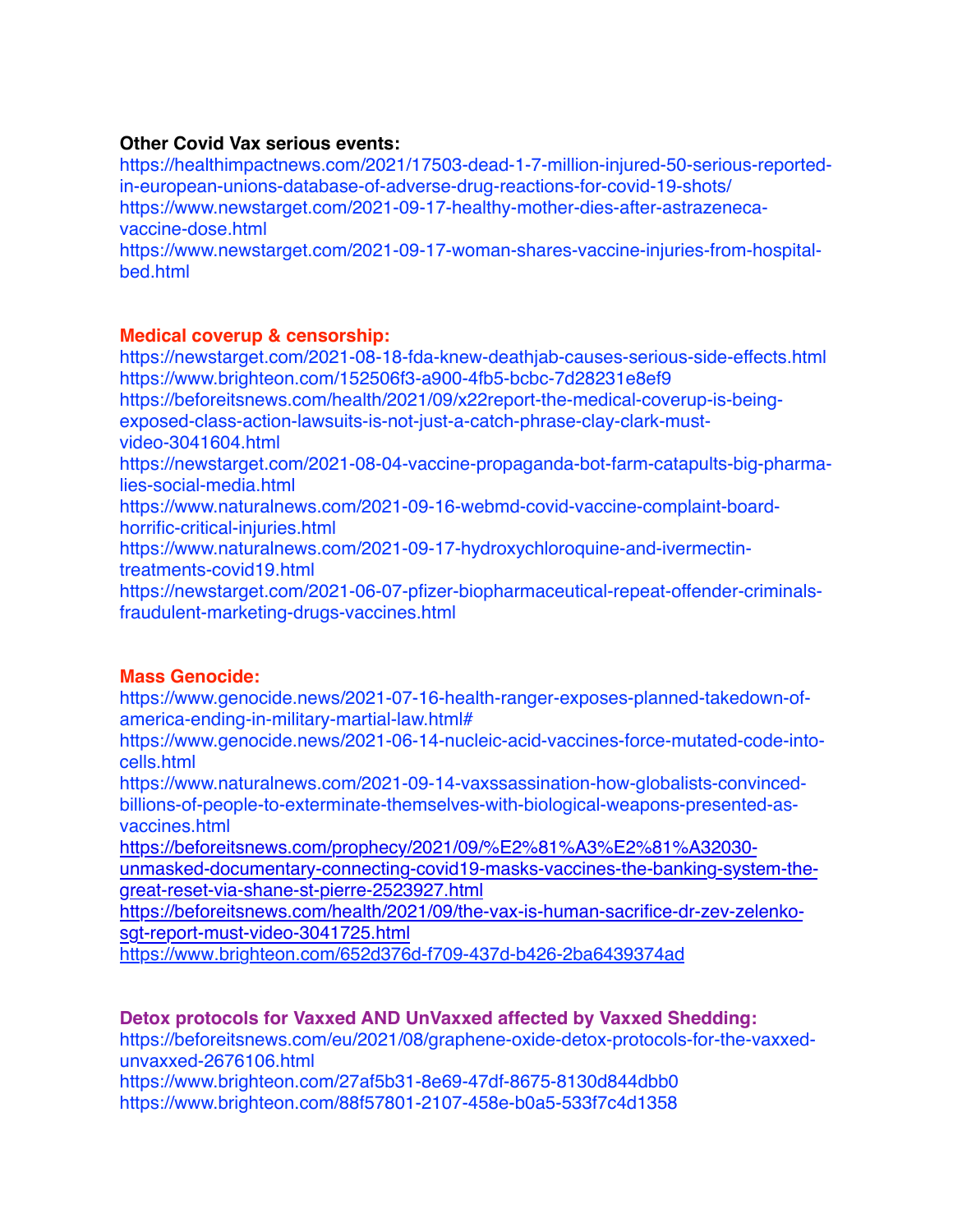# **Other Covid Vax serious events:**

[https://healthimpactnews.com/2021/17503-dead-1-7-million-injured-50-serious-reported](https://healthimpactnews.com/2021/17503-dead-1-7-million-injured-50-serious-reported-in-european-unions-database-of-adverse-drug-reactions-for-covid-19-shots/)[in-european-unions-database-of-adverse-drug-reactions-for-covid-19-shots/](https://healthimpactnews.com/2021/17503-dead-1-7-million-injured-50-serious-reported-in-european-unions-database-of-adverse-drug-reactions-for-covid-19-shots/) [https://www.newstarget.com/2021-09-17-healthy-mother-dies-after-astrazeneca](https://www.newstarget.com/2021-09-17-healthy-mother-dies-after-astrazeneca-vaccine-dose.html)[vaccine-dose.html](https://www.newstarget.com/2021-09-17-healthy-mother-dies-after-astrazeneca-vaccine-dose.html)

[https://www.newstarget.com/2021-09-17-woman-shares-vaccine-injuries-from-hospital](https://www.newstarget.com/2021-09-17-woman-shares-vaccine-injuries-from-hospital-bed.html)[bed.html](https://www.newstarget.com/2021-09-17-woman-shares-vaccine-injuries-from-hospital-bed.html)

# **Medical coverup & censorship:**

<https://newstarget.com/2021-08-18-fda-knew-deathjab-causes-serious-side-effects.html> <https://www.brighteon.com/152506f3-a900-4fb5-bcbc-7d28231e8ef9> [https://beforeitsnews.com/health/2021/09/x22report-the-medical-coverup-is-being](https://beforeitsnews.com/health/2021/09/x22report-the-medical-coverup-is-being-exposed-class-action-lawsuits-is-not-just-a-catch-phrase-clay-clark-must-video-3041604.html)[exposed-class-action-lawsuits-is-not-just-a-catch-phrase-clay-clark-must](https://beforeitsnews.com/health/2021/09/x22report-the-medical-coverup-is-being-exposed-class-action-lawsuits-is-not-just-a-catch-phrase-clay-clark-must-video-3041604.html)[video-3041604.html](https://beforeitsnews.com/health/2021/09/x22report-the-medical-coverup-is-being-exposed-class-action-lawsuits-is-not-just-a-catch-phrase-clay-clark-must-video-3041604.html) [https://newstarget.com/2021-08-04-vaccine-propaganda-bot-farm-catapults-big-pharma](https://newstarget.com/2021-08-04-vaccine-propaganda-bot-farm-catapults-big-pharma-lies-social-media.html)[lies-social-media.html](https://newstarget.com/2021-08-04-vaccine-propaganda-bot-farm-catapults-big-pharma-lies-social-media.html) [https://www.naturalnews.com/2021-09-16-webmd-covid-vaccine-complaint-board](https://www.naturalnews.com/2021-09-16-webmd-covid-vaccine-complaint-board-horrific-critical-injuries.html)[horrific-critical-injuries.html](https://www.naturalnews.com/2021-09-16-webmd-covid-vaccine-complaint-board-horrific-critical-injuries.html) [https://www.naturalnews.com/2021-09-17-hydroxychloroquine-and-ivermectin](https://www.naturalnews.com/2021-09-17-hydroxychloroquine-and-ivermectin-treatments-covid19.html)[treatments-covid19.html](https://www.naturalnews.com/2021-09-17-hydroxychloroquine-and-ivermectin-treatments-covid19.html) [https://newstarget.com/2021-06-07-pfizer-biopharmaceutical-repeat-offender-criminals](https://newstarget.com/2021-06-07-pfizer-biopharmaceutical-repeat-offender-criminals-fraudulent-marketing-drugs-vaccines.html)[fraudulent-marketing-drugs-vaccines.html](https://newstarget.com/2021-06-07-pfizer-biopharmaceutical-repeat-offender-criminals-fraudulent-marketing-drugs-vaccines.html)

# **Mass Genocide:**

[https://www.genocide.news/2021-07-16-health-ranger-exposes-planned-takedown-of](https://www.genocide.news/2021-07-16-health-ranger-exposes-planned-takedown-of-america-ending-in-military-martial-law.html#)[america-ending-in-military-martial-law.html#](https://www.genocide.news/2021-07-16-health-ranger-exposes-planned-takedown-of-america-ending-in-military-martial-law.html#)

[https://www.genocide.news/2021-06-14-nucleic-acid-vaccines-force-mutated-code-into](https://www.genocide.news/2021-06-14-nucleic-acid-vaccines-force-mutated-code-into-cells.html)[cells.html](https://www.genocide.news/2021-06-14-nucleic-acid-vaccines-force-mutated-code-into-cells.html)

[https://www.naturalnews.com/2021-09-14-vaxssassination-how-globalists-convinced](https://www.naturalnews.com/2021-09-14-vaxssassination-how-globalists-convinced-billions-of-people-to-exterminate-themselves-with-biological-weapons-presented-as-vaccines.html)[billions-of-people-to-exterminate-themselves-with-biological-weapons-presented-as](https://www.naturalnews.com/2021-09-14-vaxssassination-how-globalists-convinced-billions-of-people-to-exterminate-themselves-with-biological-weapons-presented-as-vaccines.html)[vaccines.html](https://www.naturalnews.com/2021-09-14-vaxssassination-how-globalists-convinced-billions-of-people-to-exterminate-themselves-with-biological-weapons-presented-as-vaccines.html)

[https://beforeitsnews.com/prophecy/2021/09/%E2%81%A3%E2%81%A32030](https://beforeitsnews.com/prophecy/2021/09/%E2%81%A3%E2%81%A32030-unmasked-documentary-connecting-covid19-masks-vaccines-the-banking-system-the-great-reset-via-shane-st-pierre-2523927.html) [unmasked-documentary-connecting-covid19-masks-vaccines-the-banking-system-the](https://beforeitsnews.com/prophecy/2021/09/%E2%81%A3%E2%81%A32030-unmasked-documentary-connecting-covid19-masks-vaccines-the-banking-system-the-great-reset-via-shane-st-pierre-2523927.html)[great-reset-via-shane-st-pierre-2523927.html](https://beforeitsnews.com/prophecy/2021/09/%E2%81%A3%E2%81%A32030-unmasked-documentary-connecting-covid19-masks-vaccines-the-banking-system-the-great-reset-via-shane-st-pierre-2523927.html)

[https://beforeitsnews.com/health/2021/09/the-vax-is-human-sacrifice-dr-zev-zelenko](https://beforeitsnews.com/health/2021/09/the-vax-is-human-sacrifice-dr-zev-zelenko-sgt-report-must-video-3041725.html)[sgt-report-must-video-3041725.html](https://beforeitsnews.com/health/2021/09/the-vax-is-human-sacrifice-dr-zev-zelenko-sgt-report-must-video-3041725.html)

<https://www.brighteon.com/652d376d-f709-437d-b426-2ba6439374ad>

**Detox protocols for Vaxxed AND UnVaxxed affected by Vaxxed Shedding:** [https://beforeitsnews.com/eu/2021/08/graphene-oxide-detox-protocols-for-the-vaxxed](https://beforeitsnews.com/eu/2021/08/graphene-oxide-detox-protocols-for-the-vaxxed-unvaxxed-2676106.html)[unvaxxed-2676106.html](https://beforeitsnews.com/eu/2021/08/graphene-oxide-detox-protocols-for-the-vaxxed-unvaxxed-2676106.html)

<https://www.brighteon.com/27af5b31-8e69-47df-8675-8130d844dbb0> <https://www.brighteon.com/88f57801-2107-458e-b0a5-533f7c4d1358>